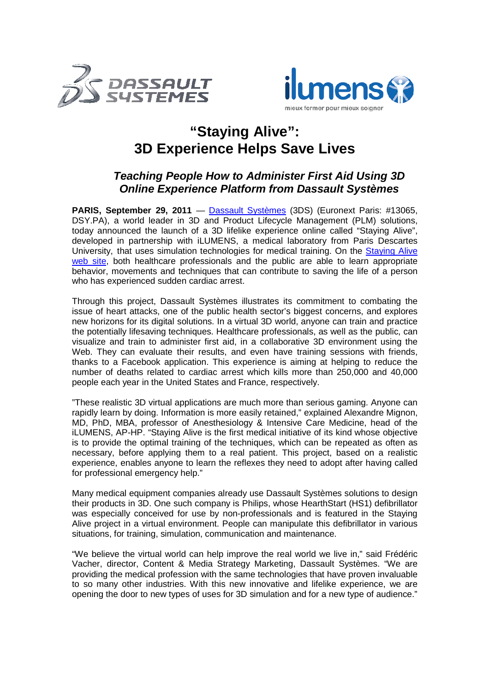



## **"Staying Alive": 3D Experience Helps Save Lives**

## **Teaching People How to Administer First Aid Using 3D Online Experience Platform from Dassault Systèmes**

**PARIS, September 29, 2011** — Dassault Systèmes (3DS) (Euronext Paris: #13065, DSY.PA), a world leader in 3D and Product Lifecycle Management (PLM) solutions, today announced the launch of a 3D lifelike experience online called "Staying Alive", developed in partnership with iLUMENS, a medical laboratory from Paris Descartes University, that uses simulation technologies for medical training. On the Staying Alive web site, both healthcare professionals and the public are able to learn appropriate behavior, movements and techniques that can contribute to saving the life of a person who has experienced sudden cardiac arrest.

Through this project, Dassault Systèmes illustrates its commitment to combating the issue of heart attacks, one of the public health sector's biggest concerns, and explores new horizons for its digital solutions. In a virtual 3D world, anyone can train and practice the potentially lifesaving techniques. Healthcare professionals, as well as the public, can visualize and train to administer first aid, in a collaborative 3D environment using the Web. They can evaluate their results, and even have training sessions with friends, thanks to a Facebook application. This experience is aiming at helping to reduce the number of deaths related to cardiac arrest which kills more than 250,000 and 40,000 people each year in the United States and France, respectively.

"These realistic 3D virtual applications are much more than serious gaming. Anyone can rapidly learn by doing. Information is more easily retained," explained Alexandre Mignon, MD, PhD, MBA, professor of Anesthesiology & Intensive Care Medicine, head of the iLUMENS, AP-HP. "Staying Alive is the first medical initiative of its kind whose objective is to provide the optimal training of the techniques, which can be repeated as often as necessary, before applying them to a real patient. This project, based on a realistic experience, enables anyone to learn the reflexes they need to adopt after having called for professional emergency help."

Many medical equipment companies already use Dassault Systèmes solutions to design their products in 3D. One such company is Philips, whose HearthStart (HS1) defibrillator was especially conceived for use by non-professionals and is featured in the Staying Alive project in a virtual environment. People can manipulate this defibrillator in various situations, for training, simulation, communication and maintenance.

"We believe the virtual world can help improve the real world we live in," said Frédéric Vacher, director, Content & Media Strategy Marketing, Dassault Systèmes. "We are providing the medical profession with the same technologies that have proven invaluable to so many other industries. With this new innovative and lifelike experience, we are opening the door to new types of uses for 3D simulation and for a new type of audience."